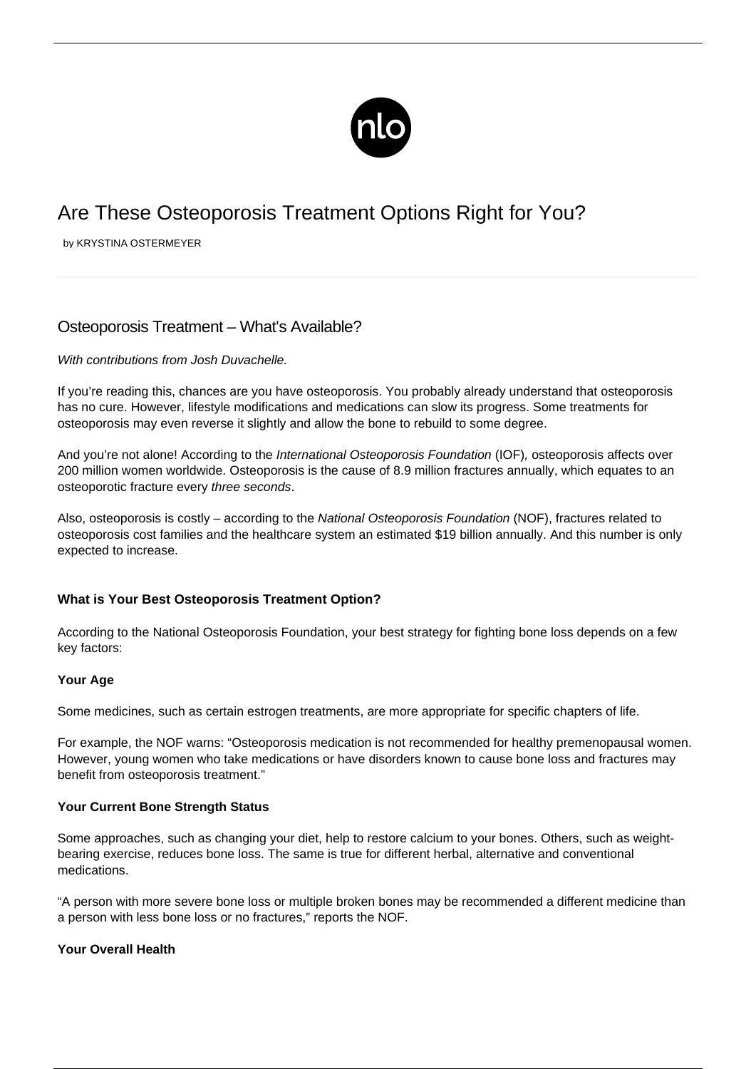

# Are These Osteoporosis Treatment Options Right for You?

by KRYSTINA OSTERMEYER

## Osteoporosis Treatment – What's Available?

## With contributions from Josh Duvachelle.

If you're reading this, chances are you have osteoporosis. You probably already understand that osteoporosis has no cure. However, [lifestyle modifications](/living-with-osteoporosis/) and medications can slow its progress. Some treatments for osteoporosis may even reverse it slightly and allow the bone to rebuild to some degree.

And you're not alone! According to the International Osteoporosis Foundation (IOF), osteoporosis affects over 200 million women worldwide. Osteoporosis is the cause of 8.9 million fractures annually, which equates to an osteoporotic fracture every three seconds.

Also, osteoporosis is costly – according to the National Osteoporosis Foundation (NOF), fractures related to osteoporosis cost families and the healthcare system an estimated \$19 billion annually. And this number is only expected to increase.

## **What is Your Best Osteoporosis Treatment Option?**

According to the National Osteoporosis Foundation, your best strategy for fighting bone loss depends on a few key factors:

## **Your Age**

Some medicines, such as certain estrogen treatments, are more appropriate for specific chapters of life.

For example, the NOF warns: "Osteoporosis medication is not recommended for healthy premenopausal women. However, young women who take medications or have disorders known to cause bone loss and fractures may benefit from osteoporosis treatment."

## **Your Current Bone Strength Status**

Some approaches, such as changing your diet, help to restore [calcium](/osteoporosis-and-calcium/) to your bones. Others, such as weightbearing exercise, reduces bone loss. The same is true for different herbal, alternative and conventional medications.

"A person with more severe bone loss or multiple broken bones may be recommended a different medicine than a person with less bone loss or no fractures," reports the NOF.

## **Your Overall Health**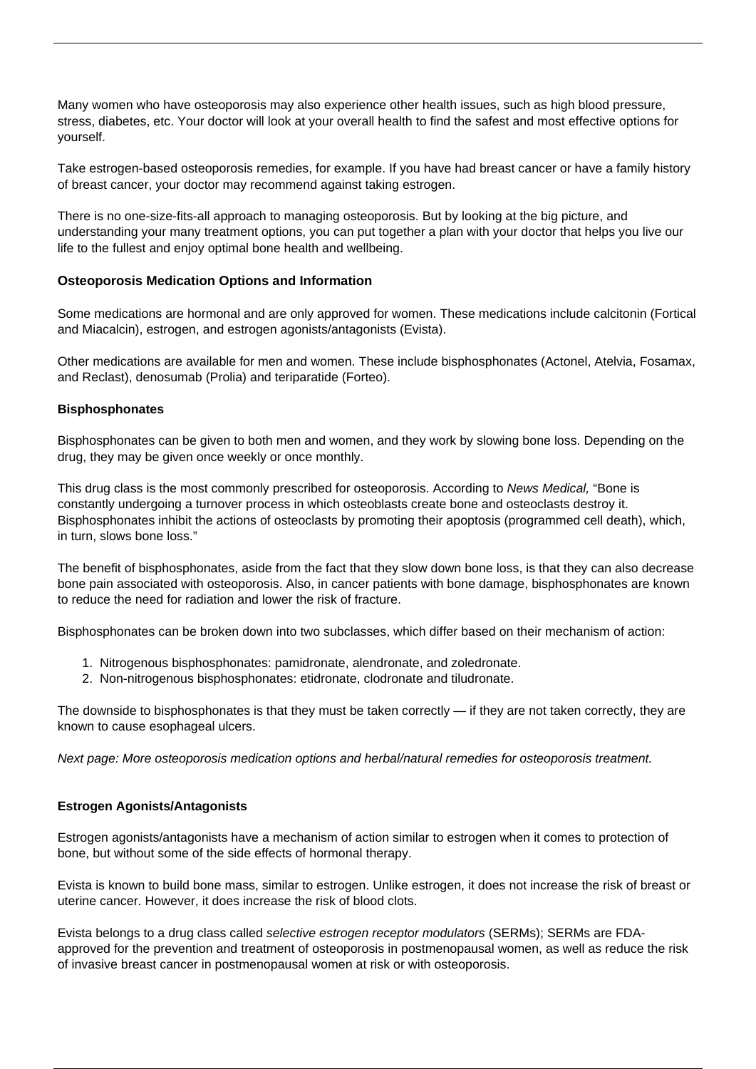Many women who have osteoporosis may also experience other health issues, such as high blood pressure, stress, diabetes, etc. Your doctor will look at your overall health to find the safest and most effective options for yourself.

Take [estrogen-based osteoporosis remedies](/estrogen-osteoporosis/), for example. If you have had breast cancer or have a family history of breast cancer, your doctor may recommend against taking estrogen.

There is no one-size-fits-all approach to managing osteoporosis. But by looking at the big picture, and understanding your many treatment options, you can put together a plan with your doctor that helps you live our life to the fullest and enjoy optimal bone health and wellbeing.

## **Osteoporosis Medication Options and Information**

Some medications are hormonal and are only approved for women. These medications include calcitonin (Fortical and Miacalcin), estrogen, and estrogen agonists/antagonists (Evista).

Other medications are available for men and women. These include bisphosphonates (Actonel, Atelvia, Fosamax, and Reclast), denosumab (Prolia) and teriparatide (Forteo).

## **Bisphosphonates**

Bisphosphonates can be given to both men and women, and they work by slowing bone loss. Depending on the drug, they may be given once weekly or once monthly.

This drug class is the most commonly prescribed for osteoporosis. According to News Medical, "Bone is constantly undergoing a turnover process in which osteoblasts create bone and osteoclasts destroy it. Bisphosphonates inhibit the actions of osteoclasts by promoting their apoptosis (programmed cell death), which, in turn, slows bone loss."

The benefit of bisphosphonates, aside from the fact that they slow down bone loss, is that they can also decrease bone pain associated with osteoporosis. Also, in cancer patients with bone damage, bisphosphonates are known to reduce the need for radiation and lower the risk of fracture.

Bisphosphonates can be broken down into two subclasses, which differ based on their mechanism of action:

- 1. Nitrogenous bisphosphonates: pamidronate, alendronate, and zoledronate.
- 2. Non-nitrogenous bisphosphonates: etidronate, clodronate and tiludronate.

The downside to bisphosphonates is that they must be taken correctly  $-$  if they are not taken correctly, they are known to cause esophageal ulcers.

Next page: More osteoporosis medication options and herbal/natural remedies for osteoporosis treatment.

## **Estrogen Agonists/Antagonists**

Estrogen agonists/antagonists have a mechanism of action similar to estrogen when it comes to protection of bone, but without some of the side effects of hormonal therapy.

Evista is known to build bone mass, similar to estrogen. Unlike estrogen, it does not increase the risk of breast or uterine cancer. However, it does increase the risk of blood clots.

Evista belongs to a drug class called selective estrogen receptor modulators (SERMs); SERMs are FDAapproved for the prevention and treatment of osteoporosis in postmenopausal women, as well as reduce the risk of invasive breast cancer in postmenopausal women at risk or with osteoporosis.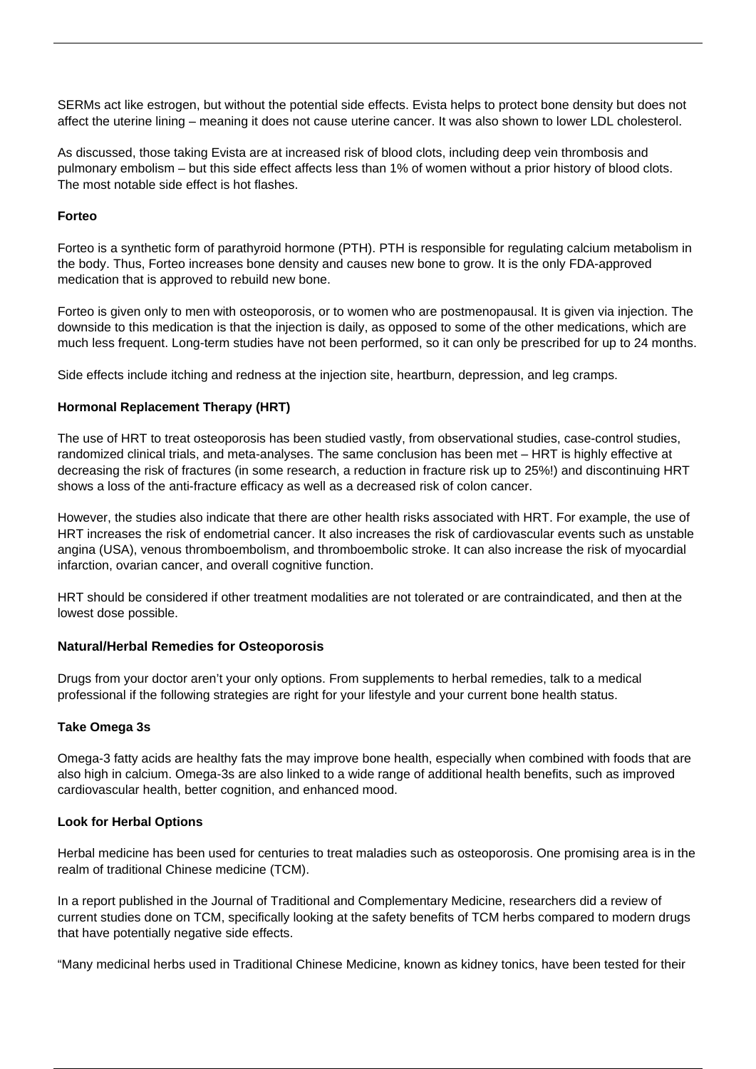SERMs act like estrogen, but without the potential side effects. Evista helps to protect bone density but does not affect the uterine lining – meaning it does not cause uterine cancer. It was also shown to lower LDL cholesterol.

As discussed, those taking Evista are at increased risk of blood clots, including deep vein thrombosis and pulmonary embolism – but this side effect affects less than 1% of women without a prior history of blood clots. The most notable side effect is hot flashes.

## **Forteo**

Forteo is a synthetic form of parathyroid hormone (PTH). PTH is responsible for regulating calcium metabolism in the body. Thus, Forteo increases bone density and causes new bone to grow. It is the only FDA-approved medication that is approved to rebuild new bone.

Forteo is given only to men with osteoporosis, or to women who are postmenopausal. It is given via injection. The downside to this medication is that the injection is daily, as opposed to some of the other medications, which are much less frequent. Long-term studies have not been performed, so it can only be prescribed for up to 24 months.

Side effects include itching and redness at the injection site, heartburn, depression, and leg cramps.

## **Hormonal Replacement Therapy (HRT)**

The use of HRT to treat osteoporosis has been studied vastly, from observational studies, case-control studies, randomized clinical trials, and meta-analyses. The same conclusion has been met – HRT is highly effective at decreasing the risk of fractures (in some research, a reduction in fracture risk up to 25%!) and discontinuing HRT shows a loss of the anti-fracture efficacy as well as a decreased risk of colon cancer.

However, the studies also indicate that there are other health risks associated with HRT. For example, the use of HRT increases the risk of endometrial cancer. It also increases the risk of cardiovascular events such as unstable angina (USA), venous thromboembolism, and thromboembolic stroke. It can also increase the risk of myocardial infarction, ovarian cancer, and overall cognitive function.

HRT should be considered if other treatment modalities are not tolerated or are contraindicated, and then at the lowest dose possible.

#### **Natural/Herbal Remedies for Osteoporosis**

Drugs from your doctor aren't your only options. From supplements to [herbal remedies,](/alternative-therapies/) talk to a medical professional if the following strategies are right for your lifestyle and your current bone health status.

#### **Take Omega 3s**

Omega-3 fatty acids are healthy fats the may improve bone health, especially when combined with foods that are also high in calcium. Omega-3s are also linked to a wide range of additional health benefits, such as improved cardiovascular health, better cognition, and enhanced mood.

## **Look for Herbal Options**

Herbal medicine has been used for centuries to treat maladies such as osteoporosis. One promising area is in the realm of traditional Chinese medicine (TCM).

In a report published in the Journal of Traditional and Complementary Medicine, researchers did a review of current studies done on TCM, specifically looking at the safety benefits of TCM herbs compared to modern drugs that have potentially negative side effects.

"Many medicinal herbs used in Traditional Chinese Medicine, known as kidney tonics, have been tested for their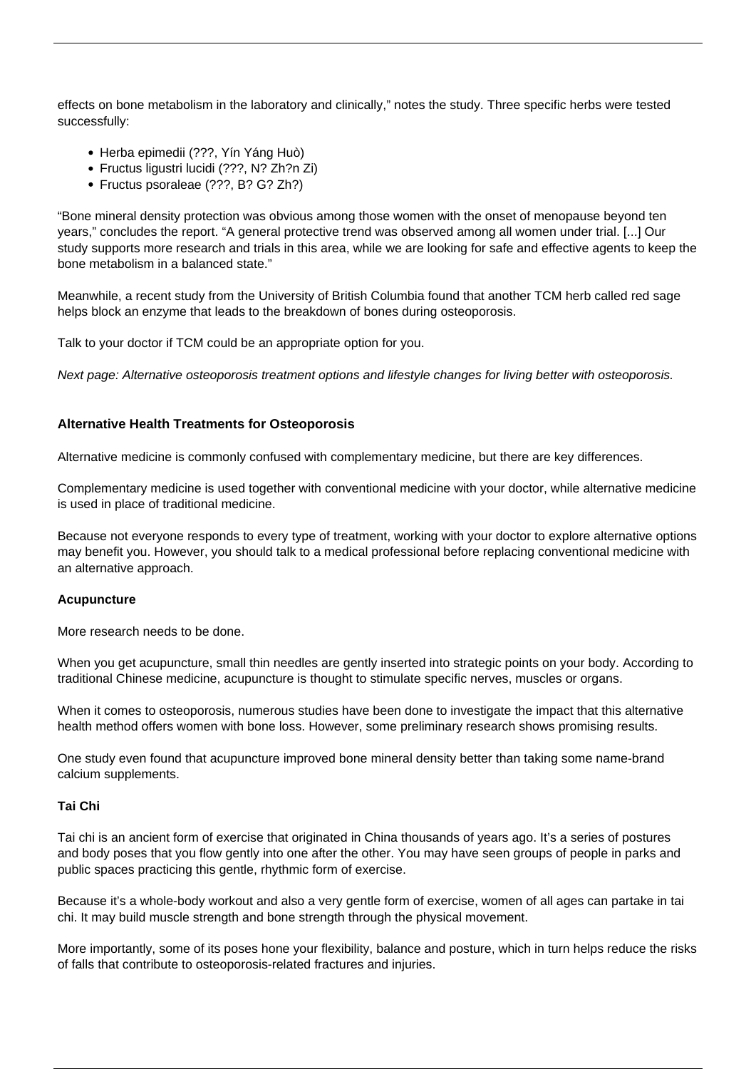effects on bone metabolism in the laboratory and clinically," notes the study. Three specific herbs were tested successfully:

- Herba epimedii (???, Yín Yáng Huò)
- Fructus ligustri lucidi (???, N? Zh?n Zi)
- Fructus psoraleae (???, B? G? Zh?)

"Bone mineral density protection was obvious among those women with the onset of menopause beyond ten years," concludes the report. "A general protective trend was observed among all women under trial. [...] Our study supports more research and trials in this area, while we are looking for safe and effective agents to keep the bone metabolism in a balanced state."

Meanwhile, a recent study from the University of British Columbia found that another TCM herb called red sage helps block an enzyme that leads to the breakdown of bones during osteoporosis.

Talk to your doctor if TCM could be an appropriate option for you.

Next page: Alternative osteoporosis treatment options and lifestyle changes for living better with osteoporosis.

## **Alternative Health Treatments for Osteoporosis**

Alternative medicine is commonly confused with complementary medicine, but there are key differences.

Complementary medicine is used together with conventional medicine with your doctor, while alternative medicine is used in place of traditional medicine.

Because not everyone responds to every type of treatment, working with your doctor to explore alternative options may benefit you. However, you should talk to a medical professional before replacing conventional medicine with an alternative approach.

## **Acupuncture**

More research needs to be done.

When you get acupuncture, small thin needles are gently inserted into strategic points on your body. According to traditional Chinese medicine, acupuncture is thought to stimulate specific nerves, muscles or organs.

When it comes to osteoporosis, numerous studies have been done to investigate the impact that this alternative health method offers women with bone loss. However, some preliminary research shows promising results.

One study even found that acupuncture improved bone mineral density better than taking some name-brand calcium supplements.

## **Tai Chi**

Tai chi is an ancient form of exercise that originated in China thousands of years ago. It's a series of postures and body poses that you flow gently into one after the other. You may have seen groups of people in parks and public spaces practicing this gentle, rhythmic form of exercise.

Because it's a whole-body workout and also a very gentle form of exercise, women of all ages can partake in tai chi. It may build muscle strength and bone strength through the physical movement.

More importantly, some of its poses hone your flexibility, balance and posture, which in turn helps reduce the risks of falls that contribute to osteoporosis-related fractures and injuries.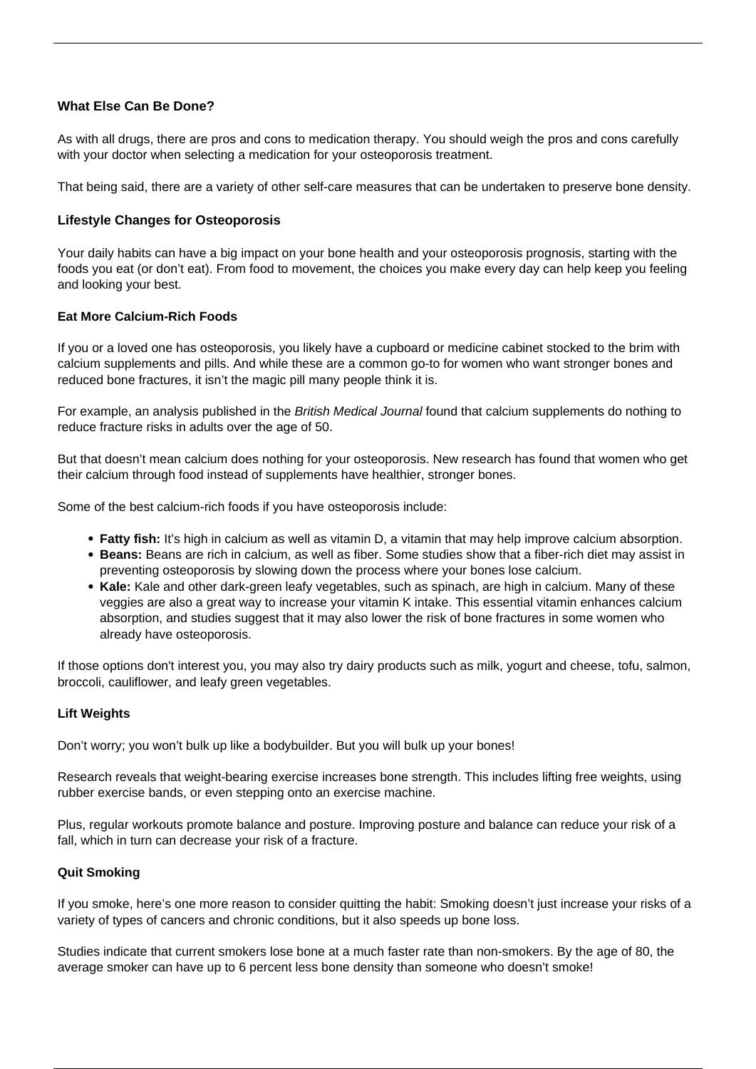## **What Else Can Be Done?**

As with all drugs, there are pros and cons to medication therapy. You should weigh the pros and cons carefully with your doctor when selecting a medication for your osteoporosis treatment.

That being said, there are a variety of other self-care measures that can be undertaken to preserve bone density.

## **Lifestyle Changes for Osteoporosis**

Your daily habits can have a big impact on your bone health and your osteoporosis prognosis, starting with the foods you eat (or [don't eat\)](/bad-foods-for-osteoporosis/). From food to movement, the choices you make every day can help keep you feeling and looking your best.

## **Eat More Calcium-Rich Foods**

If you or a loved one has osteoporosis, you likely have a cupboard or medicine cabinet stocked to the brim with calcium supplements and pills. And while these are a common go-to for women who want stronger bones and reduced bone fractures, it isn't the magic pill many people think it is.

For example, an analysis published in the British Medical Journal found that calcium supplements do nothing to reduce fracture risks in adults over the age of 50.

But that doesn't mean calcium does nothing for your osteoporosis. New research has found that women who get their calcium through food instead of supplements have healthier, stronger bones.

Some of the best [calcium-rich foods](/calcium-rich-foods/) if you have osteoporosis include:

- **Fatty fish:** It's high in calcium as well as vitamin D, a vitamin that may help improve calcium absorption.
- **Beans:** Beans are rich in calcium, as well as fiber. Some studies show that a fiber-rich diet may assist in preventing osteoporosis by slowing down the process where your bones lose calcium.
- **Kale:** Kale and other dark-green leafy vegetables, such as spinach, are high in calcium. Many of these veggies are also a great way to increase your vitamin K intake. This essential vitamin enhances calcium absorption, and studies suggest that it may also lower the risk of bone fractures in some women who already have osteoporosis.

If those options don't interest you, you may also try dairy products such as milk, yogurt and cheese, tofu, salmon, broccoli, cauliflower, and leafy green vegetables.

## **Lift Weights**

Don't worry; you won't bulk up like a bodybuilder. But you will bulk up your bones!

Research reveals that [weight-bearing exercise](/weight-bearing-exercise/) increases bone strength. This includes lifting free weights, using rubber exercise bands, or even stepping onto an exercise machine.

Plus, regular workouts promote balance and posture. Improving posture and balance can reduce your risk of a fall, which in turn can decrease your risk of a fracture.

## **Quit Smoking**

If you smoke, here's one more reason to consider [quitting the habit](http://healthliving.today/how-to-quit-smoking/): Smoking doesn't just increase your risks of a variety of types of cancers and chronic conditions, but it also speeds up bone loss.

Studies indicate that current smokers lose bone at a much faster rate than non-smokers. By the age of 80, the average smoker can have up to 6 percent less bone density than someone who doesn't smoke!